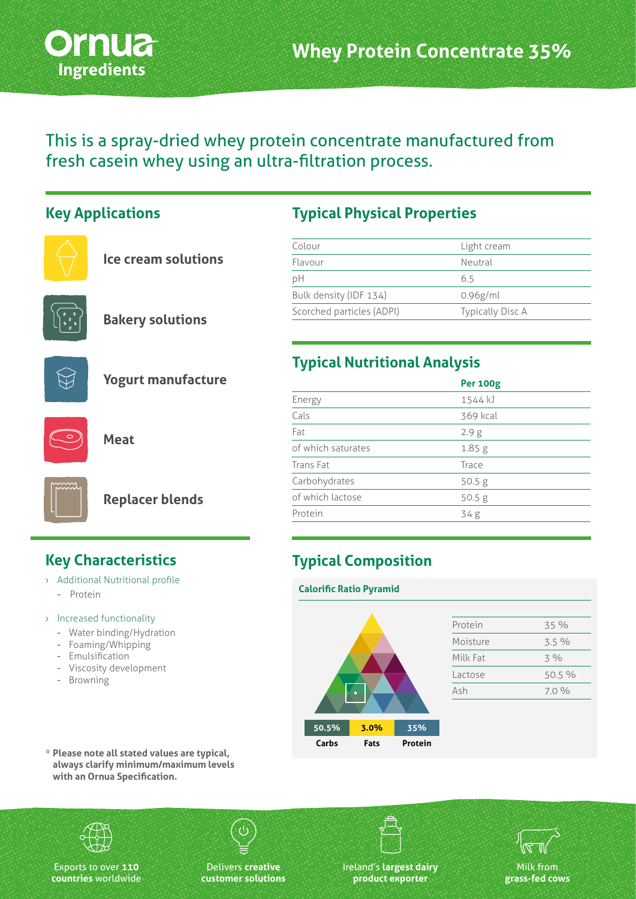

This is a spray-dried whey protein concentrate manufactured from fresh casein whey using an ultra-filtration process.

### **Key Applications**



**Bakery solutions**



**Yogurt manufacture**

**Meat**



**Replacer blends**

- › Additional Nutritional profile
- Protein
- › Increased functionality
	- Water binding/Hydration
	- Foaming/Whipping
	- Emulsification
	- Viscosity development
	- Browning

## **Typical Physical Properties**

| Light cream             |
|-------------------------|
| Neutral                 |
| 6.5                     |
| $0.96$ g/ml             |
| <b>Typically Disc A</b> |
|                         |

## **Typical Nutritional Analysis**

|                    | <b>Per 100g</b>   |
|--------------------|-------------------|
| Energy             | 1544 kJ           |
| Cals               | 369 kcal          |
| Fat                | 2.9 <sub>g</sub>  |
| of which saturates | 1.85 <sub>g</sub> |
| Trans Fat          | Trace             |
| Carbohydrates      | 50.5 g            |
| of which lactose   | 50.5 g            |
| Protein            | 34g               |
|                    |                   |

# **Key Characteristics Typical Composition**

**Calorific Ratio Pyramid**

| 50.5% | 3.0% | 35%     |
|-------|------|---------|
| Carbs | Fats | Protein |

| Protein  | 35%    |
|----------|--------|
| Moisture | 3.5%   |
| Milk Fat | $3\%$  |
| Lactose  | 50.5 % |
| Ash      | 7.0%   |
|          |        |

**\* Please note all stated values are typical, always clarify minimum/maximum levels with an Ornua Specification.**

Exports to over **110 countries** worldwide

Delivers **creative customer solutions** Ireland's **largest dairy product exporter**